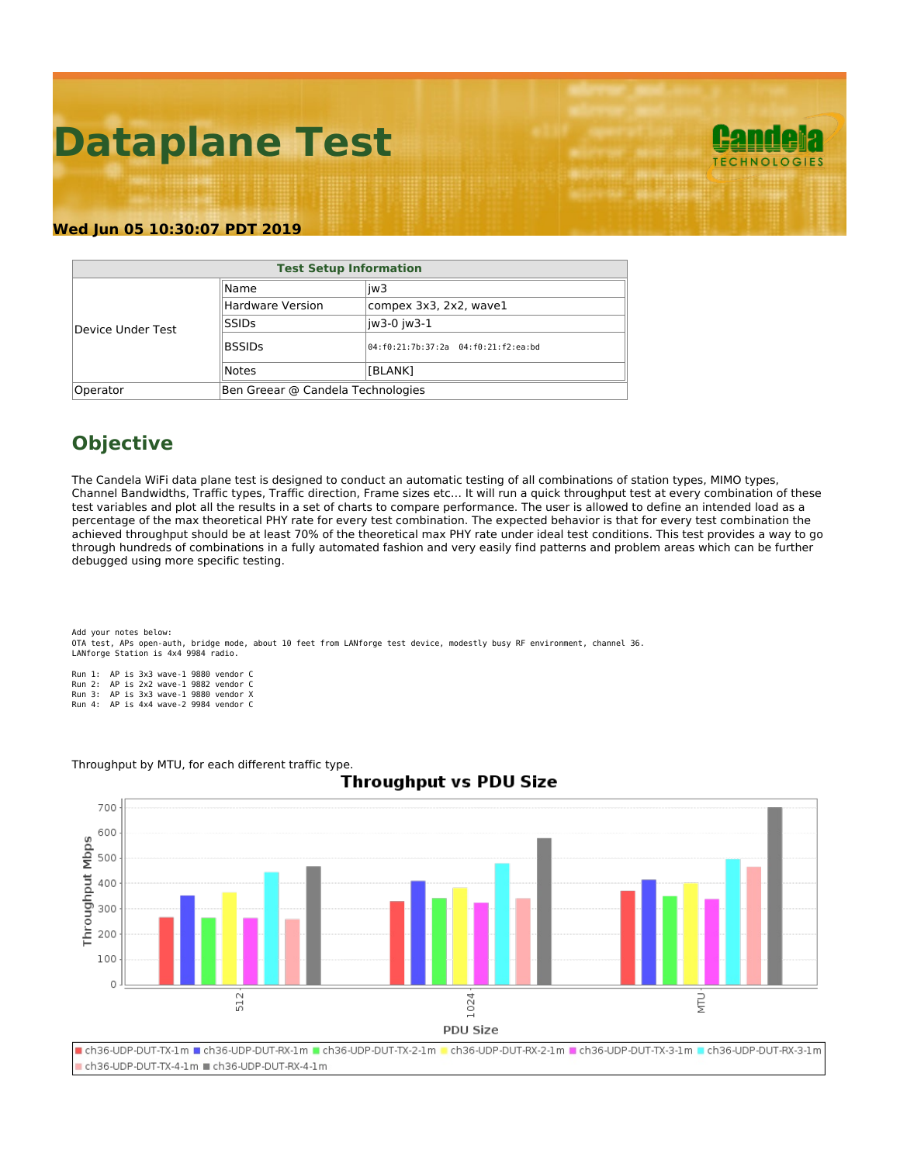# **Dataplane Test**



#### **Wed Jun 05 10:30:07 PDT 2019**

| <b>Test Setup Information</b> |                                   |                                     |  |  |  |  |  |  |
|-------------------------------|-----------------------------------|-------------------------------------|--|--|--|--|--|--|
|                               | Name                              | liw3                                |  |  |  |  |  |  |
|                               | Hardware Version                  | compex 3x3, 2x2, wave1              |  |  |  |  |  |  |
| Device Under Test             | <b>SSIDs</b>                      | liw3-0 iw3-1                        |  |  |  |  |  |  |
|                               | <b>BSSIDs</b>                     | 04:f0:21:7b:37:2a 04:f0:21:f2:ea:bd |  |  |  |  |  |  |
|                               | Notes                             | [BLANK]                             |  |  |  |  |  |  |
| Operator                      | Ben Greear @ Candela Technologies |                                     |  |  |  |  |  |  |

## **Objective**

The Candela WiFi data plane test is designed to conduct an automatic testing of all combinations of station types, MIMO types, Channel Bandwidths, Traffic types, Traffic direction, Frame sizes etc… It will run a quick throughput test at every combination of these test variables and plot all the results in a set of charts to compare performance. The user is allowed to define an intended load as a percentage of the max theoretical PHY rate for every test combination. The expected behavior is that for every test combination the achieved throughput should be at least 70% of the theoretical max PHY rate under ideal test conditions. This test provides a way to go through hundreds of combinations in a fully automated fashion and very easily find patterns and problem areas which can be further debugged using more specific testing.

Add your notes below: OTA test, APs open-auth, bridge mode, about 10 feet from LANforge test device, modestly busy RF environment, channel 36. LANforge Station is 4x4 9984 radio.

Run 1: AP is 3x3 wave-1 9880 vendor C Run 2: AP is 2x2 wave-1 9882 vendor C Run 3: AP is 3x3 wave-1 9880 vendor X Run 4: AP is 4x4 wave-2 9984 vendor C

Throughput by MTU, for each different traffic type.



### **Throughput vs PDU Size**

Leh36-UDP-DUT-TX-1m Leh36-UDP-DUT-RX-1m Leh36-UDP-DUT-TX-2-1m Leh36-UDP-DUT-RX-2-1m Leh36-UDP-DUT-TX-3-1m Leh36-UDP-DUT-RX-3-1m ch36-UDP-DUT-TX-4-1m ch36-UDP-DUT-RX-4-1m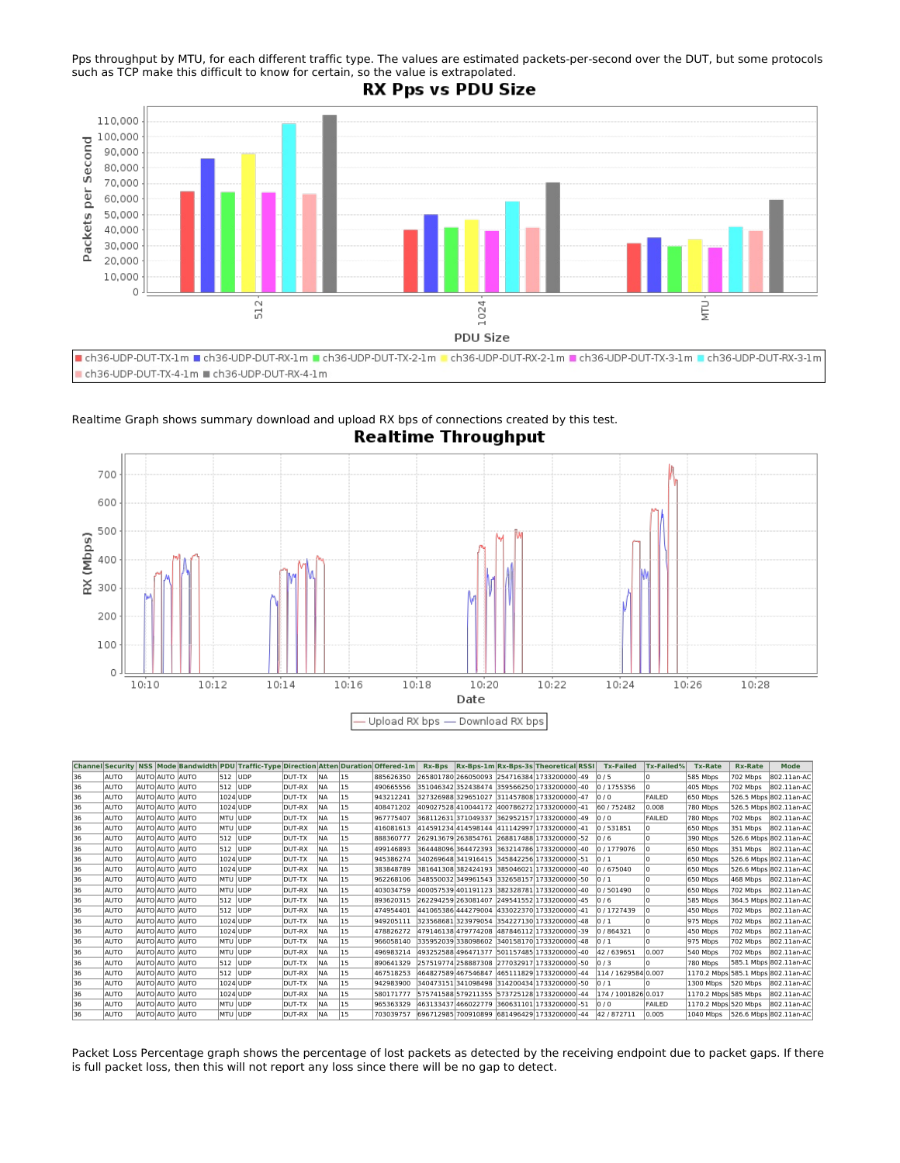Pps throughput by MTU, for each different traffic type. The values are estimated packets-per-second over the DUT, but some protocols such as TCP make this difficult to know for certain, so the value is extrapolated.

#### **RX Pps vs PDU Size**



Realtime Graph shows summary download and upload RX bps of connections created by this test. **Realtime Throughput** 



|    |             |                |          | Channel Security NSS Mode Bandwidth PDU Traffic-Type Direction Atten Duration Offered-1m |        |            |    |           | Rx-Bps |  | $Rx-Bps-1m$ Rx-Bps-3s Theoretical RSSI              | <b>Tx-Failed</b>    | <b>Tx-Failed%</b> | <b>Tx-Rate</b>       | <b>Rx-Rate</b> | <b>Mode</b>                        |
|----|-------------|----------------|----------|------------------------------------------------------------------------------------------|--------|------------|----|-----------|--------|--|-----------------------------------------------------|---------------------|-------------------|----------------------|----------------|------------------------------------|
| 36 | AUTO        | AUTO AUTO AUTO | 512 UDP  |                                                                                          | DUT-TX | <b>NA</b>  | 15 | 885626350 |        |  | 265801780 266050093 254716384 1733200000 - 49       | $\frac{10}{5}$      |                   | 585 Mbps             | 702 Mbps       | 802.11an-AC                        |
| 36 | <b>AUTO</b> | AUTO AUTO AUTO | 512 UDP  |                                                                                          | DUT-RX | <b>NA</b>  | 15 | 490665556 |        |  | 351046342 352438474 359566250 1733200000 - 40       | 0 / 1755356         |                   | 405 Mbps             | 702 Mbps       | 802.11an-AC                        |
| 36 | <b>AUTO</b> | AUTO AUTO AUTO | 1024 UDP |                                                                                          | DUT-TX | <b>INA</b> | 15 | 943212241 |        |  | 327326988 329651027 311457808 1733200000 - 47       | 0/0                 | <b>FAILED</b>     | 650 Mbps             |                | 526.5 Mbps 802.11an-AC             |
| 36 | <b>AUTO</b> | AUTO AUTO AUTO | 1024 UDP |                                                                                          | DUT-RX | <b>NA</b>  | 15 | 408471202 |        |  | 409027528 410044172 400786272 1733200000 - 41       | 60 / 752482         | 0.008             | 780 Mbps             |                | 526.5 Mbps 802.11an-AC             |
| 36 | <b>AUTO</b> | AUTO AUTO AUTO | MTU JUDP |                                                                                          | DUT-TX | <b>NA</b>  | 15 | 967775407 |        |  | 368112631371049337 362952157 1733200000 - 49        | 0/0                 | FAILED            | 780 Mbps             | 702 Mbps       | 802.11an-AC                        |
| 36 | AUTO        | AUTO AUTO AUTO | MTU JUDP |                                                                                          | DUT-RX | <b>INA</b> | 15 | 416081613 |        |  | 414591234 414598144 411142997 1733200000 - 41       | 0 / 531851          |                   | 650 Mbps             | 351 Mbps       | 802.11an-AC                        |
| 36 | AUTO        | AUTO AUTO AUTO | 512 JUDP |                                                                                          | DUT-TX | <b>INA</b> | 15 | 888360777 |        |  | 262913679 263854761 268817488 1733200000 - 52 0 / 6 |                     |                   | 390 Mbps             |                | 526.6 Mbps 802.11an-AC             |
| 36 | AUTO        | AUTO AUTO AUTO | 512 UDP  |                                                                                          | DUT-RX | <b>NA</b>  | 15 | 499146893 |        |  | 364448096 364472393 363214786 1733200000 - 40       | 0 / 1779076         |                   | 650 Mbps             |                | 351 Mbps 802.11an-AC               |
| 36 | AUTO        | AUTO AUTO AUTO | 1024 UDP |                                                                                          | DUT-TX | <b>NA</b>  | 15 | 945386274 |        |  | 340269648 341916415 345842256 1733200000 - 51       | $\frac{10}{1}$      |                   | 650 Mbps             |                | 526.6 Mbps 802.11an-AC             |
| 36 | AUTO        | AUTO AUTO AUTO | 1024 UDP |                                                                                          | DUT-RX | <b>NA</b>  | 15 | 383848789 |        |  | 381641308 382424193 385046021 1733200000 - 40       | 0 / 675040          |                   | 650 Mbps             |                | 526.6 Mbps 802.11an-AC             |
| 36 | <b>AUTO</b> | AUTO AUTO AUTO | MTU UDP  |                                                                                          | DUT-TX | <b>INA</b> | 15 | 962268106 |        |  | 348550032 349961543 332658157 1733200000 - 50       | $\frac{10}{1}$      |                   | 650 Mbps             | 468 Mbps       | 802.11an-AC                        |
| 36 | AUTO        | AUTO AUTO AUTO | MTU JUDP |                                                                                          | DUT-RX | <b>INA</b> | 15 | 403034759 |        |  | 400057539 401191123 382328781 1733200000 - 40       | 0 / 501490          |                   | 650 Mbps             | 702 Mbps       | 802.11an-AC                        |
| 36 | <b>AUTO</b> | AUTO AUTO AUTO | 512 JUDP |                                                                                          | DUT-TX | <b>INA</b> | 15 | 893620315 |        |  | 262294259 263081407 249541552 1733200000 - 45       | $\frac{10}{6}$      |                   | 585 Mbps             |                | 364.5 Mbps 802.11an-AC             |
| 36 | <b>AUTO</b> | AUTO AUTO AUTO | 512 JUDP |                                                                                          | DUT-RX | <b>INA</b> | 15 | 474954401 |        |  | 441065386 444279004  433022370 1733200000 -41       | 0 / 1727439         |                   | 450 Mbps             | 702 Mbps       | 802.11an-AC                        |
| 36 | <b>AUTO</b> | AUTO AUTO AUTO | 1024 UDP |                                                                                          | DUT-TX | <b>INA</b> | 15 | 949205111 |        |  | 323568681323979054 354227130 1733200000 - 48        | $\frac{10}{1}$      |                   | 975 Mbps             | 702 Mbps       | 802.11an-AC                        |
| 36 | <b>AUTO</b> | AUTO AUTO AUTO | 1024 UDP |                                                                                          | DUT-RX | <b>INA</b> | 15 | 478826272 |        |  | 479146138 479774208 487846112 1733200000 - 39       | 0 / 864321          |                   | 450 Mbps             | 702 Mbps       | 802.11an-AC                        |
| 36 | <b>AUTO</b> | AUTO AUTO AUTO | MTU JUDP |                                                                                          | DUT-TX | <b>NA</b>  | 15 | 966058140 |        |  | 335952039338098602 340158170 1733200000 - 48        | 10/1                |                   | 975 Mbps             | 702 Mbps       | 802.11an-AC                        |
| 36 | <b>AUTO</b> | AUTO AUTO AUTO | MTU UDP  |                                                                                          | DUT-RX | <b>INA</b> | 15 | 496983214 |        |  | 493252588 496471377 501157485 1733200000 - 40       | 42/639651           | 0.007             | 540 Mbps             | 702 Mbps       | 802.11an-AC                        |
| 36 | <b>AUTO</b> | AUTO AUTO AUTO | 512 UDP  |                                                                                          | DUT-TX | <b>NA</b>  | 15 | 890641329 |        |  | 257519774258887308 277032917 1733200000 - 50        | 0/3                 |                   | 780 Mbps             |                | 585.1 Mbps 802.11an-AC             |
| 36 | <b>AUTO</b> | AUTO AUTO AUTO | 512 UDP  |                                                                                          | DUT-RX | <b>NA</b>  | 15 | 467518253 |        |  | 464827589 467546847 465111829 1733200000 - 44       | 114 / 1629584 0.007 |                   |                      |                | 1170.2 Mbps 585.1 Mbps 802.11an-AC |
| 36 | <b>AUTO</b> | AUTO AUTO AUTO | 1024 UDP |                                                                                          | DUT-TX | <b>INA</b> | 15 | 942983900 |        |  | 340473151341098498 314200434 1733200000 - 50        | $\frac{10}{1}$      |                   | 1300 Mbps            | 520 Mbps       | 802.11an-AC                        |
| 36 | <b>AUTO</b> | AUTO AUTO AUTO | 1024 UDP |                                                                                          | DUT-RX | <b>INA</b> | 15 | 580171777 |        |  | 575741588 579211355 573725128 1733200000 - 44       | 174 / 1001826 0.017 |                   | 1170.2 Mbps 585 Mbps |                | 802.11an-AC                        |
| 36 | <b>AUTO</b> | AUTO AUTO AUTO | MTU UDP  |                                                                                          | DUT-TX | <b>NA</b>  | 15 | 965363329 |        |  | 463133437 466022779 360631101 1733200000 - 51       | 0/0                 | <b>FAILED</b>     | 1170.2 Mbps 520 Mbps |                | 802.11an-AC                        |
| 36 | AUTO        | AUTO AUTO AUTO | MTU UDP  |                                                                                          | DUT-RX | <b>INA</b> | 15 | 703039757 |        |  | 696712985 700910899 681496429 1733200000 - 44       | 42/872711           | 0.005             |                      |                | 1040 Mbps 526.6 Mbps 802.11an-AC   |

Packet Loss Percentage graph shows the percentage of lost packets as detected by the receiving endpoint due to packet gaps. If there is full packet loss, then this will not report any loss since there will be no gap to detect.